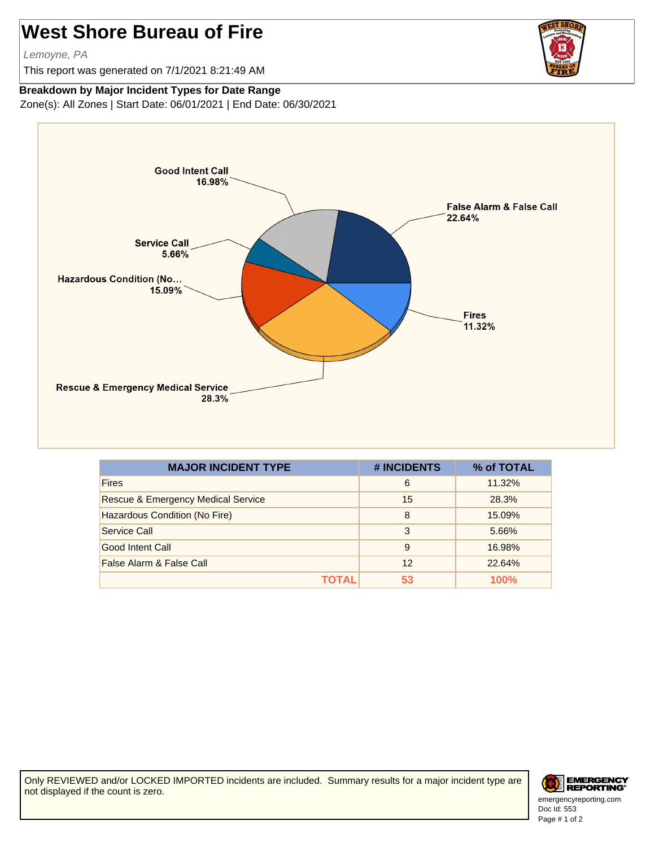## **West Shore Bureau of Fire**

Lemoyne, PA

This report was generated on 7/1/2021 8:21:49 AM



## **Breakdown by Major Incident Types for Date Range**

Zone(s): All Zones | Start Date: 06/01/2021 | End Date: 06/30/2021



| <b>MAJOR INCIDENT TYPE</b>                    | # INCIDENTS | % of TOTAL |
|-----------------------------------------------|-------------|------------|
| <b>Fires</b>                                  | 6           | 11.32%     |
| <b>Rescue &amp; Emergency Medical Service</b> | 15          | 28.3%      |
| Hazardous Condition (No Fire)                 | 8           | 15.09%     |
| Service Call                                  | 3           | 5.66%      |
| Good Intent Call                              | 9           | 16.98%     |
| False Alarm & False Call                      | 12          | 22.64%     |
| ΤΩΤΑΙ                                         | 53          | 100%       |

Only REVIEWED and/or LOCKED IMPORTED incidents are included. Summary results for a major incident type are not displayed if the count is zero.



Doc Id: 553 emergencyreporting.com Page # 1 of 2